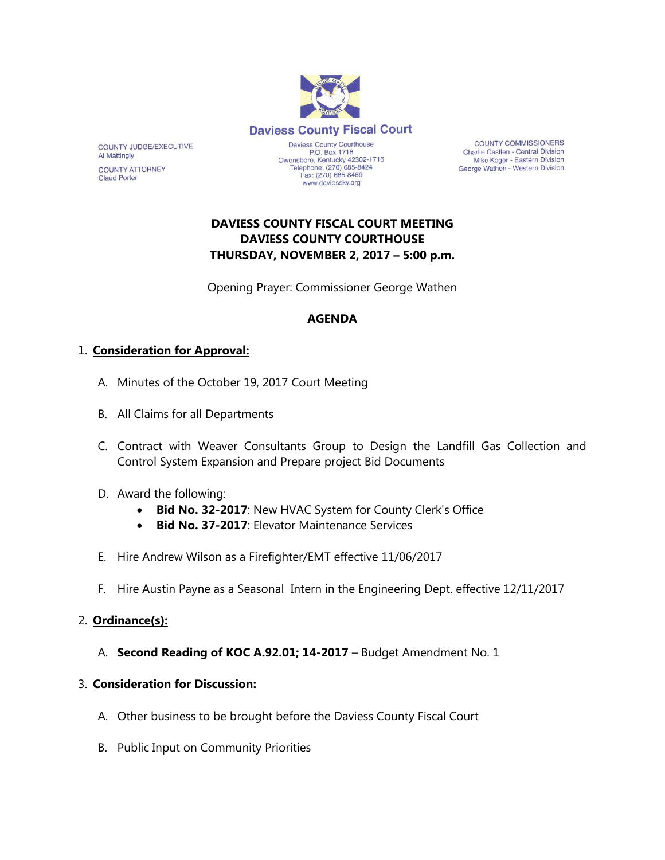

**COUNTY COMMISSIONERS** Charlie Castlen - Central Division Mike Koger - Eastern Division George Wathen - Western Division

# **DAVIESS COUNTY FISCAL COURT MEETING DAVIESS COUNTY COURTHOUSE THURSDAY, NOVEMBER 2, 2017 – 5:00 p.m.**

Opening Prayer: Commissioner George Wathen

# **AGENDA**

# 1. **Consideration for Approval:**

COUNTY JUDGE/EXECUTIVE

**COUNTY ATTORNEY** 

**Al Mattingly** 

**Claud Porter** 

- A. Minutes of the October 19, 2017 Court Meeting
- B. All Claims for all Departments
- C. Contract with Weaver Consultants Group to Design the Landfill Gas Collection and Control System Expansion and Prepare project Bid Documents
- D. Award the following:
	- **Bid No. 32-2017**: New HVAC System for County Clerk's Office
	- **Bid No. 37-2017:** Flevator Maintenance Services
- E. Hire Andrew Wilson as a Firefighter/EMT effective 11/06/2017
- F. Hire Austin Payne as a Seasonal Intern in the Engineering Dept. effective 12/11/2017

### 2. **Ordinance(s):**

A. **Second Reading of KOC A.92.01; 14-2017** – Budget Amendment No. 1

### 3. **Consideration for Discussion:**

- A. Other business to be brought before the Daviess County Fiscal Court
- B. Public Input on Community Priorities